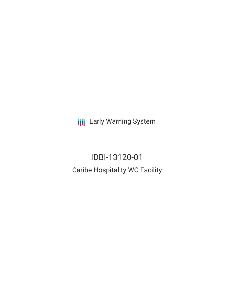**III** Early Warning System

IDBI-13120-01 Caribe Hospitality WC Facility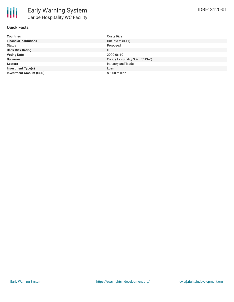

## **Quick Facts**

| <b>Countries</b>               | Costa Rica                       |
|--------------------------------|----------------------------------|
| <b>Financial Institutions</b>  | IDB Invest (IDBI)                |
| <b>Status</b>                  | Proposed                         |
| <b>Bank Risk Rating</b>        | C                                |
| <b>Voting Date</b>             | 2020-06-10                       |
| <b>Borrower</b>                | Caribe Hospitality S.A. ("CHSA") |
| <b>Sectors</b>                 | Industry and Trade               |
| <b>Investment Type(s)</b>      | Loan                             |
| <b>Investment Amount (USD)</b> | $$5.00$ million                  |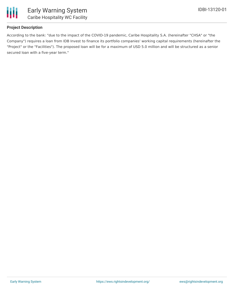

# **Project Description**

According to the bank: "due to the impact of the COVID-19 pandemic, Caribe Hospitality S.A. (hereinafter "CHSA" or "the Company") requires a loan from IDB Invest to finance its portfolio companies' working capital requirements (hereinafter the "Project" or the "Facilities"). The proposed loan will be for a maximum of USD 5.0 million and will be structured as a senior secured loan with a five-year term."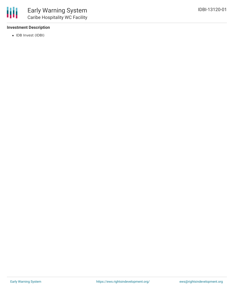## **Investment Description**

• IDB Invest (IDBI)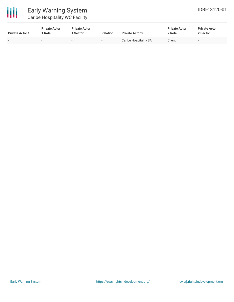| <b>Private Actor 1</b> | <b>Private Actor</b><br>1 Role | <b>Private Actor</b><br>1 Sector | <b>Relation</b>          | <b>Private Actor 2</b> | <b>Private Actor</b><br>2 Role | <b>Private Actor</b><br>2 Sector |
|------------------------|--------------------------------|----------------------------------|--------------------------|------------------------|--------------------------------|----------------------------------|
| -                      | -                              |                                  | $\overline{\phantom{a}}$ | Caribe Hospitality SA  | Client                         | $\overline{\phantom{a}}$         |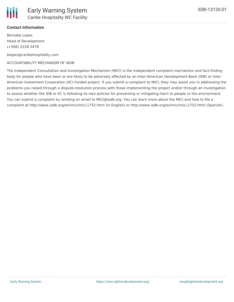

### **Contact Information**

Bernabe Lopez Head of Development (+506) 2228-3478

blopez@caribehospitality.com

#### ACCOUNTABILITY MECHANISM OF IADB

The Independent Consultation and Investigation Mechanism (MICI) is the independent complaint mechanism and fact-finding body for people who have been or are likely to be adversely affected by an Inter-American Development Bank (IDB) or Inter-American Investment Corporation (IIC)-funded project. If you submit a complaint to MICI, they may assist you in addressing the problems you raised through a dispute-resolution process with those implementing the project and/or through an investigation to assess whether the IDB or IIC is following its own policies for preventing or mitigating harm to people or the environment. You can submit a complaint by sending an email to MICI@iadb.org. You can learn more about the MICI and how to file a complaint at http://www.iadb.org/en/mici/mici,1752.html (in English) or http://www.iadb.org/es/mici/mici,1752.html (Spanish).